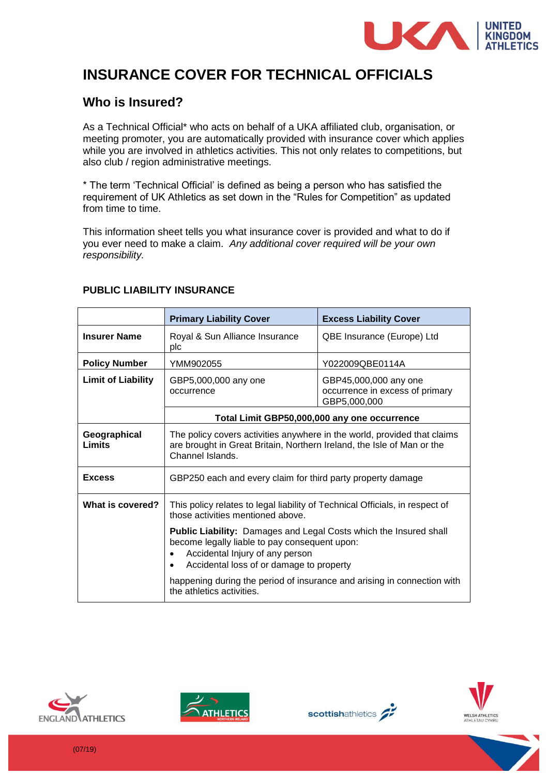

# **INSURANCE COVER FOR TECHNICAL OFFICIALS**

# **Who is Insured?**

As a Technical Official\* who acts on behalf of a UKA affiliated club, organisation, or meeting promoter, you are automatically provided with insurance cover which applies while you are involved in athletics activities. This not only relates to competitions, but also club / region administrative meetings.

\* The term 'Technical Official' is defined as being a person who has satisfied the requirement of UK Athletics as set down in the "Rules for Competition" as updated from time to time.

This information sheet tells you what insurance cover is provided and what to do if you ever need to make a claim. *Any additional cover required will be your own responsibility.*

|                           | <b>Primary Liability Cover</b>                                                                                                                                                                                                                                                                                   | <b>Excess Liability Cover</b>                                            |
|---------------------------|------------------------------------------------------------------------------------------------------------------------------------------------------------------------------------------------------------------------------------------------------------------------------------------------------------------|--------------------------------------------------------------------------|
| <b>Insurer Name</b>       | Royal & Sun Alliance Insurance<br>plc                                                                                                                                                                                                                                                                            | QBE Insurance (Europe) Ltd                                               |
| <b>Policy Number</b>      | YMM902055                                                                                                                                                                                                                                                                                                        | Y022009QBE0114A                                                          |
| <b>Limit of Liability</b> | GBP5,000,000 any one<br>occurrence                                                                                                                                                                                                                                                                               | GBP45,000,000 any one<br>occurrence in excess of primary<br>GBP5,000,000 |
|                           | Total Limit GBP50,000,000 any one occurrence                                                                                                                                                                                                                                                                     |                                                                          |
| Geographical<br>Limits    | The policy covers activities anywhere in the world, provided that claims<br>are brought in Great Britain, Northern Ireland, the Isle of Man or the<br>Channel Islands.                                                                                                                                           |                                                                          |
| <b>Excess</b>             | GBP250 each and every claim for third party property damage                                                                                                                                                                                                                                                      |                                                                          |
| What is covered?          | This policy relates to legal liability of Technical Officials, in respect of<br>those activities mentioned above.                                                                                                                                                                                                |                                                                          |
|                           | <b>Public Liability:</b> Damages and Legal Costs which the Insured shall<br>become legally liable to pay consequent upon:<br>Accidental Injury of any person<br>Accidental loss of or damage to property<br>happening during the period of insurance and arising in connection with<br>the athletics activities. |                                                                          |
|                           |                                                                                                                                                                                                                                                                                                                  |                                                                          |

#### **PUBLIC LIABILITY INSURANCE**







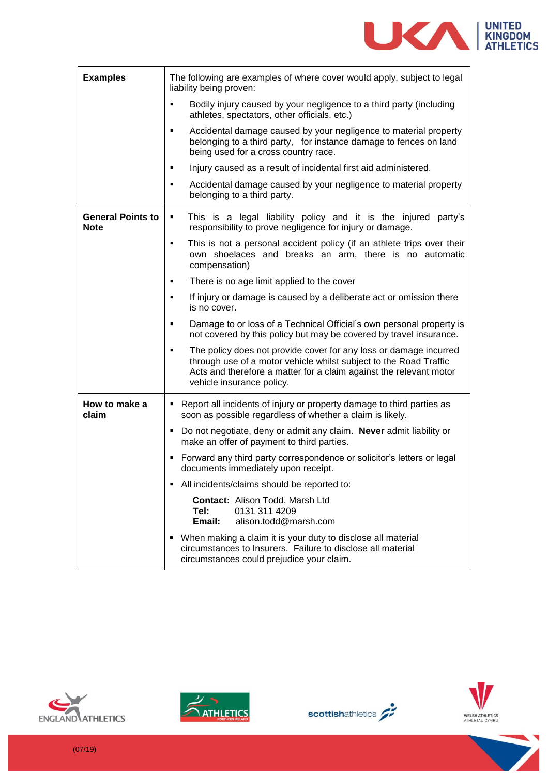

| <b>Examples</b>                         | The following are examples of where cover would apply, subject to legal<br>liability being proven:                                                                                                                                             |  |
|-----------------------------------------|------------------------------------------------------------------------------------------------------------------------------------------------------------------------------------------------------------------------------------------------|--|
|                                         | Bodily injury caused by your negligence to a third party (including<br>٠<br>athletes, spectators, other officials, etc.)                                                                                                                       |  |
|                                         | Accidental damage caused by your negligence to material property<br>٠<br>belonging to a third party, for instance damage to fences on land<br>being used for a cross country race.                                                             |  |
|                                         | Injury caused as a result of incidental first aid administered.<br>٠                                                                                                                                                                           |  |
|                                         | Accidental damage caused by your negligence to material property<br>٠<br>belonging to a third party.                                                                                                                                           |  |
| <b>General Points to</b><br><b>Note</b> | This is a legal liability policy and it is the injured party's<br>٠<br>responsibility to prove negligence for injury or damage.                                                                                                                |  |
|                                         | This is not a personal accident policy (if an athlete trips over their<br>٠<br>own shoelaces and breaks an arm, there is no automatic<br>compensation)                                                                                         |  |
|                                         | There is no age limit applied to the cover<br>٠                                                                                                                                                                                                |  |
|                                         | If injury or damage is caused by a deliberate act or omission there<br>٠<br>is no cover.                                                                                                                                                       |  |
|                                         | Damage to or loss of a Technical Official's own personal property is<br>٠<br>not covered by this policy but may be covered by travel insurance.                                                                                                |  |
|                                         | The policy does not provide cover for any loss or damage incurred<br>٠<br>through use of a motor vehicle whilst subject to the Road Traffic<br>Acts and therefore a matter for a claim against the relevant motor<br>vehicle insurance policy. |  |
| How to make a<br>claim                  | Report all incidents of injury or property damage to third parties as<br>٠<br>soon as possible regardless of whether a claim is likely.                                                                                                        |  |
|                                         | • Do not negotiate, deny or admit any claim. Never admit liability or<br>make an offer of payment to third parties.                                                                                                                            |  |
|                                         | • Forward any third party correspondence or solicitor's letters or legal<br>documents immediately upon receipt.                                                                                                                                |  |
|                                         | All incidents/claims should be reported to:                                                                                                                                                                                                    |  |
|                                         | <b>Contact: Alison Todd, Marsh Ltd</b><br>Tel:<br>0131 311 4209<br>Email:<br>alison.todd@marsh.com                                                                                                                                             |  |
|                                         | • When making a claim it is your duty to disclose all material<br>circumstances to Insurers. Failure to disclose all material<br>circumstances could prejudice your claim.                                                                     |  |







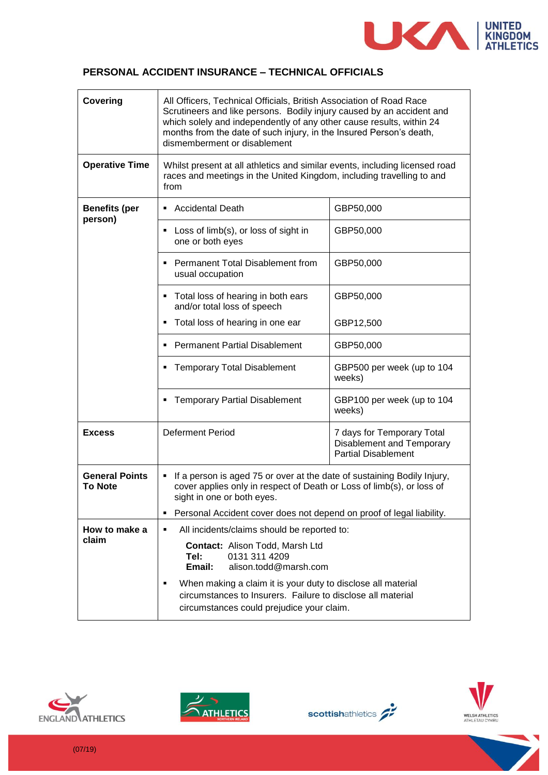

#### **PERSONAL ACCIDENT INSURANCE – TECHNICAL OFFICIALS**

| Covering                                | All Officers, Technical Officials, British Association of Road Race<br>Scrutineers and like persons. Bodily injury caused by an accident and<br>which solely and independently of any other cause results, within 24<br>months from the date of such injury, in the Insured Person's death,<br>dismemberment or disablement |                                                                                       |  |
|-----------------------------------------|-----------------------------------------------------------------------------------------------------------------------------------------------------------------------------------------------------------------------------------------------------------------------------------------------------------------------------|---------------------------------------------------------------------------------------|--|
| <b>Operative Time</b>                   | Whilst present at all athletics and similar events, including licensed road<br>races and meetings in the United Kingdom, including travelling to and<br>from                                                                                                                                                                |                                                                                       |  |
| <b>Benefits (per</b><br>person)         | <b>Accidental Death</b>                                                                                                                                                                                                                                                                                                     | GBP50,000                                                                             |  |
|                                         | Loss of limb(s), or loss of sight in<br>٠<br>one or both eyes                                                                                                                                                                                                                                                               | GBP50,000                                                                             |  |
|                                         | Permanent Total Disablement from<br>٠<br>usual occupation                                                                                                                                                                                                                                                                   | GBP50,000                                                                             |  |
|                                         | Total loss of hearing in both ears<br>and/or total loss of speech                                                                                                                                                                                                                                                           | GBP50,000                                                                             |  |
|                                         | Total loss of hearing in one ear<br>٠                                                                                                                                                                                                                                                                                       | GBP12,500                                                                             |  |
|                                         | <b>Permanent Partial Disablement</b>                                                                                                                                                                                                                                                                                        | GBP50,000                                                                             |  |
|                                         | <b>Temporary Total Disablement</b>                                                                                                                                                                                                                                                                                          | GBP500 per week (up to 104<br>weeks)                                                  |  |
|                                         | <b>Temporary Partial Disablement</b>                                                                                                                                                                                                                                                                                        | GBP100 per week (up to 104<br>weeks)                                                  |  |
| <b>Excess</b>                           | <b>Deferment Period</b>                                                                                                                                                                                                                                                                                                     | 7 days for Temporary Total<br>Disablement and Temporary<br><b>Partial Disablement</b> |  |
| <b>General Points</b><br><b>To Note</b> | If a person is aged 75 or over at the date of sustaining Bodily Injury,<br>٠<br>cover applies only in respect of Death or Loss of limb(s), or loss of<br>sight in one or both eyes.                                                                                                                                         |                                                                                       |  |
|                                         | Personal Accident cover does not depend on proof of legal liability.<br>٠                                                                                                                                                                                                                                                   |                                                                                       |  |
| How to make a                           | All incidents/claims should be reported to:<br>٠                                                                                                                                                                                                                                                                            |                                                                                       |  |
| claim                                   | Contact: Alison Todd, Marsh Ltd<br>0131 311 4209<br>Tel:<br>Email:<br>alison.todd@marsh.com                                                                                                                                                                                                                                 |                                                                                       |  |
|                                         | When making a claim it is your duty to disclose all material<br>٠<br>circumstances to Insurers. Failure to disclose all material<br>circumstances could prejudice your claim.                                                                                                                                               |                                                                                       |  |







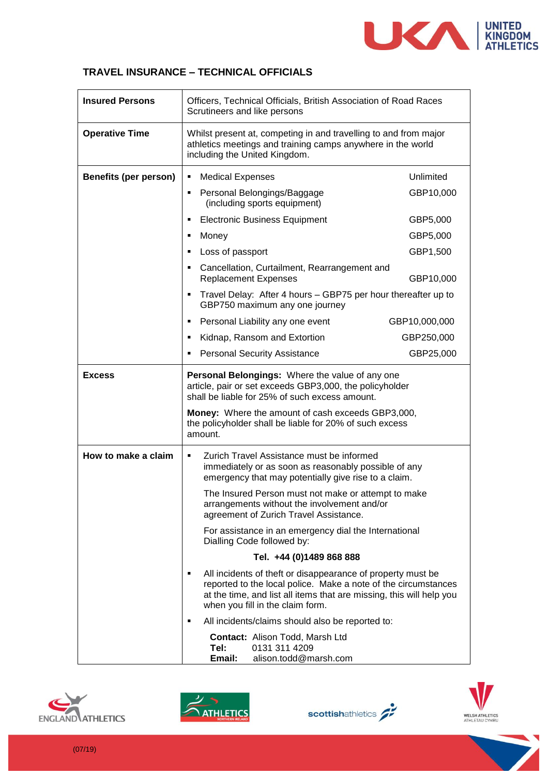

#### **TRAVEL INSURANCE – TECHNICAL OFFICIALS**

| <b>Insured Persons</b>       | Officers, Technical Officials, British Association of Road Races<br>Scrutineers and like persons                                                                                                                                               |               |
|------------------------------|------------------------------------------------------------------------------------------------------------------------------------------------------------------------------------------------------------------------------------------------|---------------|
| <b>Operative Time</b>        | Whilst present at, competing in and travelling to and from major<br>athletics meetings and training camps anywhere in the world<br>including the United Kingdom.                                                                               |               |
| <b>Benefits (per person)</b> | <b>Medical Expenses</b><br>٠                                                                                                                                                                                                                   | Unlimited     |
|                              | Personal Belongings/Baggage<br>٠<br>(including sports equipment)                                                                                                                                                                               | GBP10,000     |
|                              | <b>Electronic Business Equipment</b><br>٠                                                                                                                                                                                                      | GBP5,000      |
|                              | Money<br>п                                                                                                                                                                                                                                     | GBP5,000      |
|                              | Loss of passport<br>п                                                                                                                                                                                                                          | GBP1,500      |
|                              | Cancellation, Curtailment, Rearrangement and<br>٠<br><b>Replacement Expenses</b>                                                                                                                                                               | GBP10,000     |
|                              | Travel Delay: After 4 hours - GBP75 per hour thereafter up to<br>٠<br>GBP750 maximum any one journey                                                                                                                                           |               |
|                              | Personal Liability any one event<br>٠                                                                                                                                                                                                          | GBP10,000,000 |
|                              | Kidnap, Ransom and Extortion<br>٠                                                                                                                                                                                                              | GBP250,000    |
|                              | <b>Personal Security Assistance</b><br>٠                                                                                                                                                                                                       | GBP25,000     |
| <b>Excess</b>                | Personal Belongings: Where the value of any one<br>article, pair or set exceeds GBP3,000, the policyholder<br>shall be liable for 25% of such excess amount.                                                                                   |               |
|                              | Money: Where the amount of cash exceeds GBP3,000,<br>the policyholder shall be liable for 20% of such excess<br>amount.                                                                                                                        |               |
| How to make a claim          | Zurich Travel Assistance must be informed<br>٠<br>immediately or as soon as reasonably possible of any<br>emergency that may potentially give rise to a claim.                                                                                 |               |
|                              | The Insured Person must not make or attempt to make<br>arrangements without the involvement and/or<br>agreement of Zurich Travel Assistance.                                                                                                   |               |
|                              | For assistance in an emergency dial the International<br>Dialling Code followed by:                                                                                                                                                            |               |
|                              | Tel. +44 (0)1489 868 888                                                                                                                                                                                                                       |               |
|                              | All incidents of theft or disappearance of property must be<br>٠<br>reported to the local police. Make a note of the circumstances<br>at the time, and list all items that are missing, this will help you<br>when you fill in the claim form. |               |
|                              | All incidents/claims should also be reported to:<br>٠                                                                                                                                                                                          |               |
|                              | <b>Contact: Alison Todd, Marsh Ltd</b><br>0131 311 4209<br>Tel:<br>Email:<br>alison.todd@marsh.com                                                                                                                                             |               |







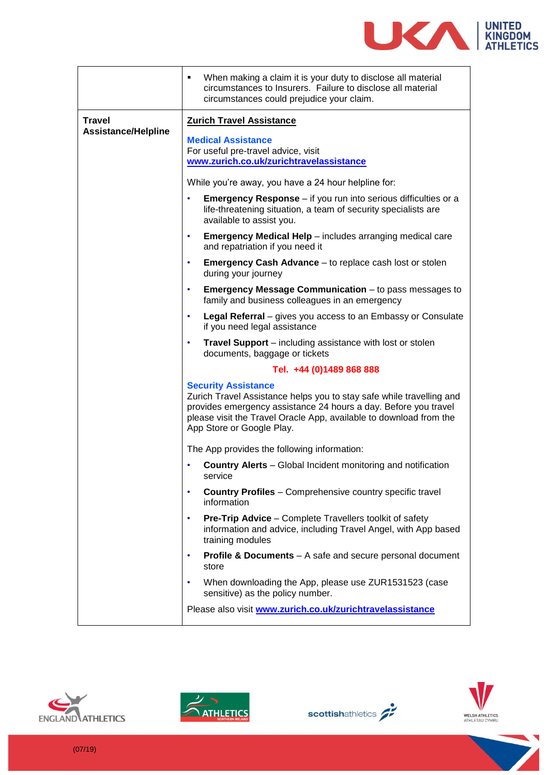

|                                                                                                                                                                                                                                                                          | When making a claim it is your duty to disclose all material<br>٠<br>circumstances to Insurers. Failure to disclose all material<br>circumstances could prejudice your claim. |
|--------------------------------------------------------------------------------------------------------------------------------------------------------------------------------------------------------------------------------------------------------------------------|-------------------------------------------------------------------------------------------------------------------------------------------------------------------------------|
| <b>Travel</b><br><b>Assistance/Helpline</b>                                                                                                                                                                                                                              | <b>Zurich Travel Assistance</b>                                                                                                                                               |
|                                                                                                                                                                                                                                                                          | <b>Medical Assistance</b><br>For useful pre-travel advice, visit<br>www.zurich.co.uk/zurichtravelassistance                                                                   |
|                                                                                                                                                                                                                                                                          | While you're away, you have a 24 hour helpline for:                                                                                                                           |
|                                                                                                                                                                                                                                                                          | <b>Emergency Response</b> – if you run into serious difficulties or a<br>٠<br>life-threatening situation, a team of security specialists are<br>available to assist you.      |
|                                                                                                                                                                                                                                                                          | <b>Emergency Medical Help</b> – includes arranging medical care<br>٠<br>and repatriation if you need it                                                                       |
|                                                                                                                                                                                                                                                                          | <b>Emergency Cash Advance</b> – to replace cash lost or stolen<br>٠<br>during your journey                                                                                    |
|                                                                                                                                                                                                                                                                          | <b>Emergency Message Communication</b> – to pass messages to<br>٠<br>family and business colleagues in an emergency                                                           |
|                                                                                                                                                                                                                                                                          | <b>Legal Referral</b> – gives you access to an Embassy or Consulate<br>٠<br>if you need legal assistance                                                                      |
|                                                                                                                                                                                                                                                                          | <b>Travel Support</b> – including assistance with lost or stolen<br>documents, baggage or tickets                                                                             |
|                                                                                                                                                                                                                                                                          | Tel. +44 (0)1489 868 888                                                                                                                                                      |
| <b>Security Assistance</b><br>Zurich Travel Assistance helps you to stay safe while travelling and<br>provides emergency assistance 24 hours a day. Before you travel<br>please visit the Travel Oracle App, available to download from the<br>App Store or Google Play. |                                                                                                                                                                               |
|                                                                                                                                                                                                                                                                          | The App provides the following information:                                                                                                                                   |
|                                                                                                                                                                                                                                                                          | <b>Country Alerts</b> – Global Incident monitoring and notification<br>service                                                                                                |
|                                                                                                                                                                                                                                                                          | <b>Country Profiles</b> - Comprehensive country specific travel<br>$\bullet$<br>information                                                                                   |
|                                                                                                                                                                                                                                                                          | <b>Pre-Trip Advice - Complete Travellers toolkit of safety</b><br>٠<br>information and advice, including Travel Angel, with App based<br>training modules                     |
|                                                                                                                                                                                                                                                                          | <b>Profile &amp; Documents</b> – A safe and secure personal document<br>٠<br>store                                                                                            |
|                                                                                                                                                                                                                                                                          | When downloading the App, please use ZUR1531523 (case<br>٠<br>sensitive) as the policy number.                                                                                |
|                                                                                                                                                                                                                                                                          | Please also visit www.zurich.co.uk/zurichtravelassistance                                                                                                                     |